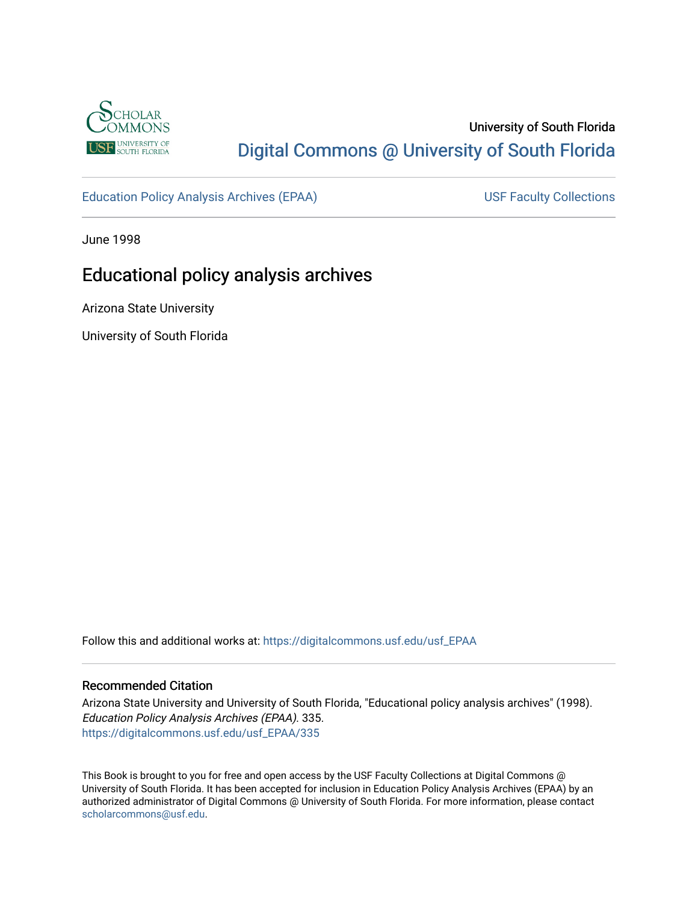

# University of South Florida [Digital Commons @ University of South Florida](https://digitalcommons.usf.edu/)

[Education Policy Analysis Archives \(EPAA\)](https://digitalcommons.usf.edu/usf_EPAA) USF Faculty Collections

June 1998

# Educational policy analysis archives

Arizona State University

University of South Florida

Follow this and additional works at: [https://digitalcommons.usf.edu/usf\\_EPAA](https://digitalcommons.usf.edu/usf_EPAA?utm_source=digitalcommons.usf.edu%2Fusf_EPAA%2F335&utm_medium=PDF&utm_campaign=PDFCoverPages)

#### Recommended Citation

Arizona State University and University of South Florida, "Educational policy analysis archives" (1998). Education Policy Analysis Archives (EPAA). 335. [https://digitalcommons.usf.edu/usf\\_EPAA/335](https://digitalcommons.usf.edu/usf_EPAA/335?utm_source=digitalcommons.usf.edu%2Fusf_EPAA%2F335&utm_medium=PDF&utm_campaign=PDFCoverPages)

This Book is brought to you for free and open access by the USF Faculty Collections at Digital Commons @ University of South Florida. It has been accepted for inclusion in Education Policy Analysis Archives (EPAA) by an authorized administrator of Digital Commons @ University of South Florida. For more information, please contact [scholarcommons@usf.edu.](mailto:scholarcommons@usf.edu)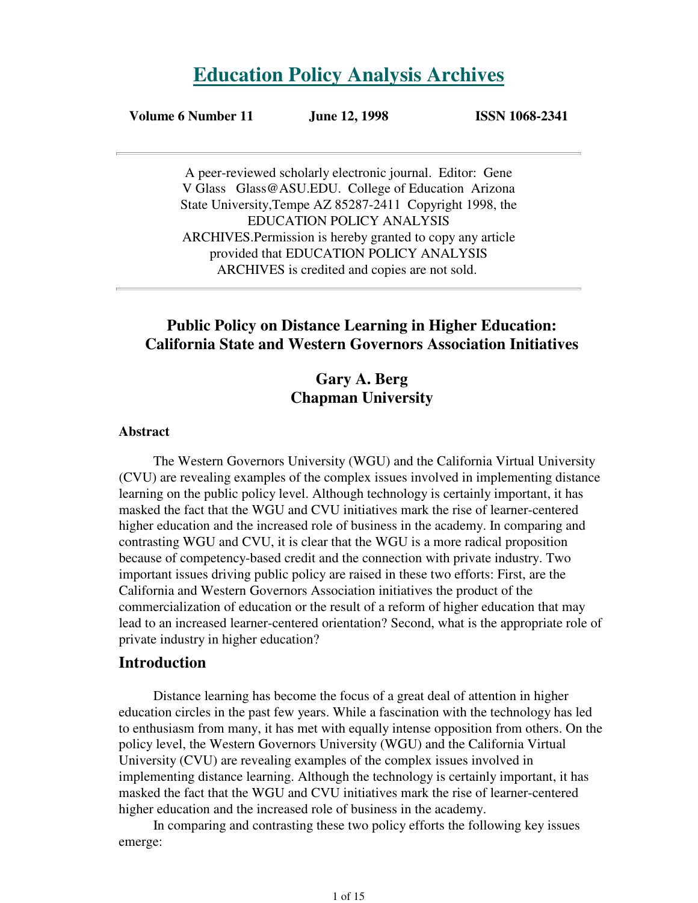# **Education Policy Analysis Archives**

## **Volume 6 Number 11 June 12, 1998 ISSN 1068-2341**

A peer-reviewed scholarly electronic journal. Editor: Gene V Glass Glass@ASU.EDU. College of Education Arizona State University,Tempe AZ 85287-2411 Copyright 1998, the EDUCATION POLICY ANALYSIS ARCHIVES.Permission is hereby granted to copy any article provided that EDUCATION POLICY ANALYSIS ARCHIVES is credited and copies are not sold.

# **Public Policy on Distance Learning in Higher Education: California State and Western Governors Association Initiatives**

# **Gary A. Berg Chapman University**

#### **Abstract**

The Western Governors University (WGU) and the California Virtual University (CVU) are revealing examples of the complex issues involved in implementing distance learning on the public policy level. Although technology is certainly important, it has masked the fact that the WGU and CVU initiatives mark the rise of learner-centered higher education and the increased role of business in the academy. In comparing and contrasting WGU and CVU, it is clear that the WGU is a more radical proposition because of competency-based credit and the connection with private industry. Two important issues driving public policy are raised in these two efforts: First, are the California and Western Governors Association initiatives the product of the commercialization of education or the result of a reform of higher education that may lead to an increased learner-centered orientation? Second, what is the appropriate role of private industry in higher education?

### **Introduction**

Distance learning has become the focus of a great deal of attention in higher education circles in the past few years. While a fascination with the technology has led to enthusiasm from many, it has met with equally intense opposition from others. On the policy level, the Western Governors University (WGU) and the California Virtual University (CVU) are revealing examples of the complex issues involved in implementing distance learning. Although the technology is certainly important, it has masked the fact that the WGU and CVU initiatives mark the rise of learner-centered higher education and the increased role of business in the academy.

In comparing and contrasting these two policy efforts the following key issues emerge: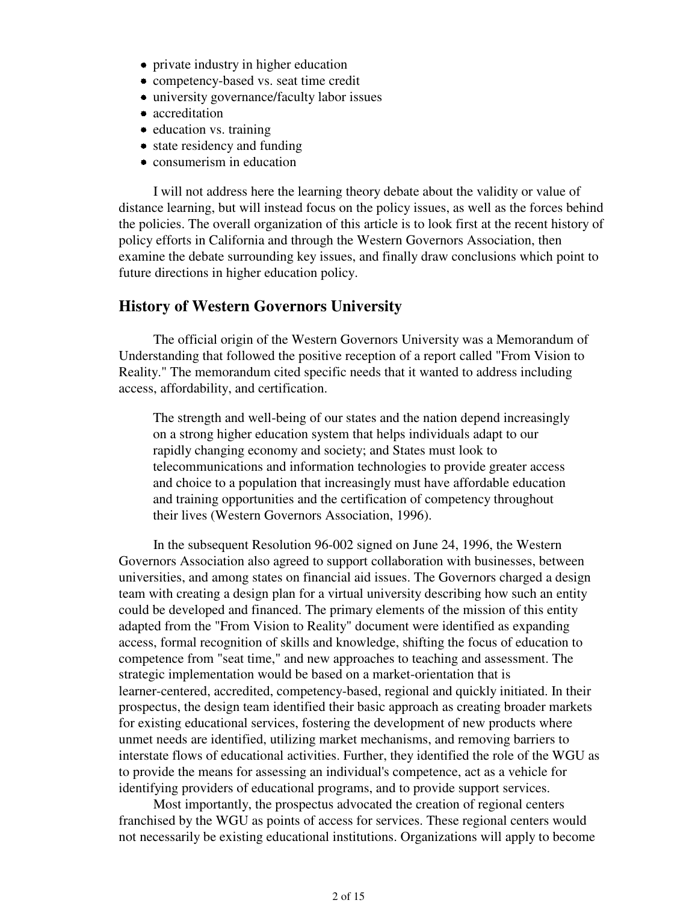- private industry in higher education
- competency-based vs. seat time credit
- university governance/faculty labor issues
- accreditation
- education vs. training
- state residency and funding
- consumerism in education

I will not address here the learning theory debate about the validity or value of distance learning, but will instead focus on the policy issues, as well as the forces behind the policies. The overall organization of this article is to look first at the recent history of policy efforts in California and through the Western Governors Association, then examine the debate surrounding key issues, and finally draw conclusions which point to future directions in higher education policy.

#### **History of Western Governors University**

The official origin of the Western Governors University was a Memorandum of Understanding that followed the positive reception of a report called "From Vision to Reality." The memorandum cited specific needs that it wanted to address including access, affordability, and certification.

The strength and well-being of our states and the nation depend increasingly on a strong higher education system that helps individuals adapt to our rapidly changing economy and society; and States must look to telecommunications and information technologies to provide greater access and choice to a population that increasingly must have affordable education and training opportunities and the certification of competency throughout their lives (Western Governors Association, 1996).

In the subsequent Resolution 96-002 signed on June 24, 1996, the Western Governors Association also agreed to support collaboration with businesses, between universities, and among states on financial aid issues. The Governors charged a design team with creating a design plan for a virtual university describing how such an entity could be developed and financed. The primary elements of the mission of this entity adapted from the "From Vision to Reality" document were identified as expanding access, formal recognition of skills and knowledge, shifting the focus of education to competence from "seat time," and new approaches to teaching and assessment. The strategic implementation would be based on a market-orientation that is learner-centered, accredited, competency-based, regional and quickly initiated. In their prospectus, the design team identified their basic approach as creating broader markets for existing educational services, fostering the development of new products where unmet needs are identified, utilizing market mechanisms, and removing barriers to interstate flows of educational activities. Further, they identified the role of the WGU as to provide the means for assessing an individual's competence, act as a vehicle for identifying providers of educational programs, and to provide support services.

Most importantly, the prospectus advocated the creation of regional centers franchised by the WGU as points of access for services. These regional centers would not necessarily be existing educational institutions. Organizations will apply to become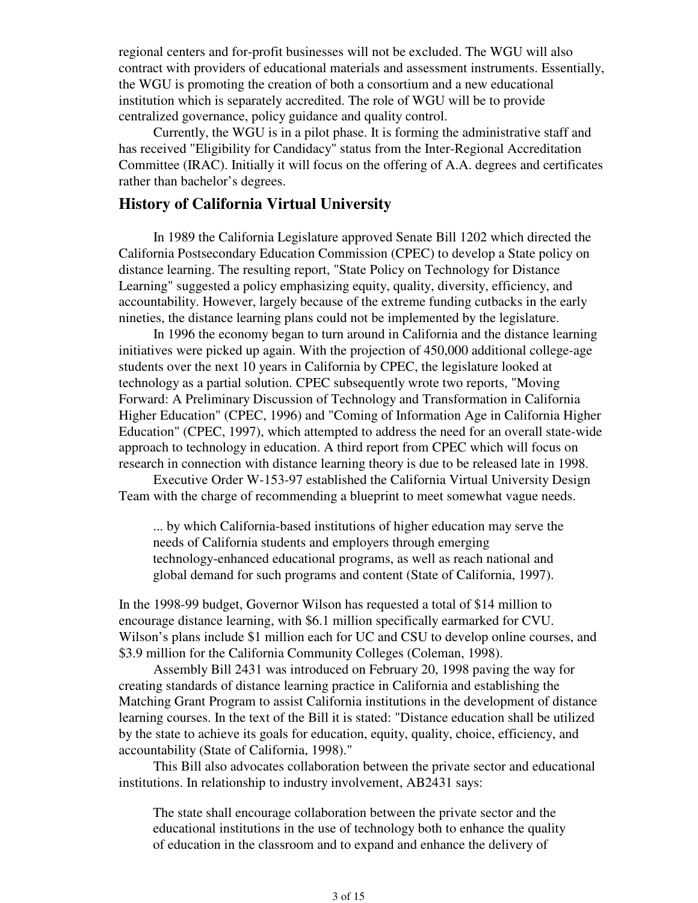regional centers and for-profit businesses will not be excluded. The WGU will also contract with providers of educational materials and assessment instruments. Essentially, the WGU is promoting the creation of both a consortium and a new educational institution which is separately accredited. The role of WGU will be to provide centralized governance, policy guidance and quality control.

Currently, the WGU is in a pilot phase. It is forming the administrative staff and has received "Eligibility for Candidacy" status from the Inter-Regional Accreditation Committee (IRAC). Initially it will focus on the offering of A.A. degrees and certificates rather than bachelor's degrees.

## **History of California Virtual University**

In 1989 the California Legislature approved Senate Bill 1202 which directed the California Postsecondary Education Commission (CPEC) to develop a State policy on distance learning. The resulting report, "State Policy on Technology for Distance Learning" suggested a policy emphasizing equity, quality, diversity, efficiency, and accountability. However, largely because of the extreme funding cutbacks in the early nineties, the distance learning plans could not be implemented by the legislature.

In 1996 the economy began to turn around in California and the distance learning initiatives were picked up again. With the projection of 450,000 additional college-age students over the next 10 years in California by CPEC, the legislature looked at technology as a partial solution. CPEC subsequently wrote two reports, "Moving Forward: A Preliminary Discussion of Technology and Transformation in California Higher Education" (CPEC, 1996) and "Coming of Information Age in California Higher Education" (CPEC, 1997), which attempted to address the need for an overall state-wide approach to technology in education. A third report from CPEC which will focus on research in connection with distance learning theory is due to be released late in 1998.

Executive Order W-153-97 established the California Virtual University Design Team with the charge of recommending a blueprint to meet somewhat vague needs.

... by which California-based institutions of higher education may serve the needs of California students and employers through emerging technology-enhanced educational programs, as well as reach national and global demand for such programs and content (State of California, 1997).

In the 1998-99 budget, Governor Wilson has requested a total of \$14 million to encourage distance learning, with \$6.1 million specifically earmarked for CVU. Wilson's plans include \$1 million each for UC and CSU to develop online courses, and \$3.9 million for the California Community Colleges (Coleman, 1998).

Assembly Bill 2431 was introduced on February 20, 1998 paving the way for creating standards of distance learning practice in California and establishing the Matching Grant Program to assist California institutions in the development of distance learning courses. In the text of the Bill it is stated: "Distance education shall be utilized by the state to achieve its goals for education, equity, quality, choice, efficiency, and accountability (State of California, 1998)."

This Bill also advocates collaboration between the private sector and educational institutions. In relationship to industry involvement, AB2431 says:

The state shall encourage collaboration between the private sector and the educational institutions in the use of technology both to enhance the quality of education in the classroom and to expand and enhance the delivery of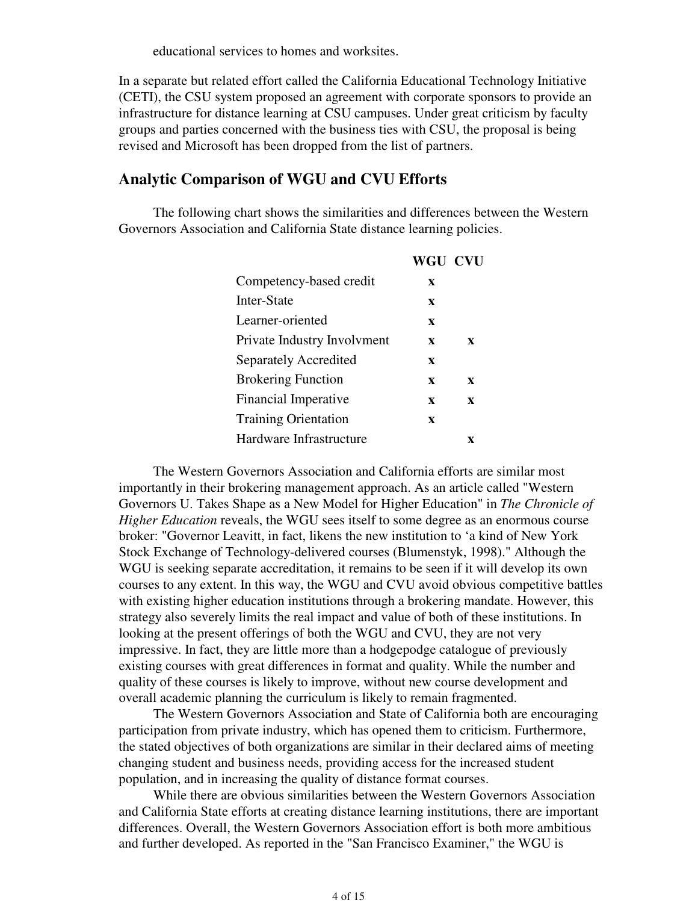educational services to homes and worksites.

In a separate but related effort called the California Educational Technology Initiative (CETI), the CSU system proposed an agreement with corporate sponsors to provide an infrastructure for distance learning at CSU campuses. Under great criticism by faculty groups and parties concerned with the business ties with CSU, the proposal is being revised and Microsoft has been dropped from the list of partners.

### **Analytic Comparison of WGU and CVU Efforts**

The following chart shows the similarities and differences between the Western Governors Association and California State distance learning policies.

|                             | <b>WGU CVU</b> |   |
|-----------------------------|----------------|---|
| Competency-based credit     | X              |   |
| Inter-State                 | X              |   |
| Learner-oriented            | X              |   |
| Private Industry Involvment | X              | X |
| Separately Accredited       | X              |   |
| <b>Brokering Function</b>   | X              | X |
| <b>Financial Imperative</b> | X              | X |
| <b>Training Orientation</b> | $\mathbf x$    |   |
| Hardware Infrastructure     |                | Y |
|                             |                |   |

The Western Governors Association and California efforts are similar most importantly in their brokering management approach. As an article called "Western Governors U. Takes Shape as a New Model for Higher Education" in *The Chronicle of Higher Education* reveals, the WGU sees itself to some degree as an enormous course broker: "Governor Leavitt, in fact, likens the new institution to 'a kind of New York Stock Exchange of Technology-delivered courses (Blumenstyk, 1998)." Although the WGU is seeking separate accreditation, it remains to be seen if it will develop its own courses to any extent. In this way, the WGU and CVU avoid obvious competitive battles with existing higher education institutions through a brokering mandate. However, this strategy also severely limits the real impact and value of both of these institutions. In looking at the present offerings of both the WGU and CVU, they are not very impressive. In fact, they are little more than a hodgepodge catalogue of previously existing courses with great differences in format and quality. While the number and quality of these courses is likely to improve, without new course development and overall academic planning the curriculum is likely to remain fragmented.

The Western Governors Association and State of California both are encouraging participation from private industry, which has opened them to criticism. Furthermore, the stated objectives of both organizations are similar in their declared aims of meeting changing student and business needs, providing access for the increased student population, and in increasing the quality of distance format courses.

While there are obvious similarities between the Western Governors Association and California State efforts at creating distance learning institutions, there are important differences. Overall, the Western Governors Association effort is both more ambitious and further developed. As reported in the "San Francisco Examiner," the WGU is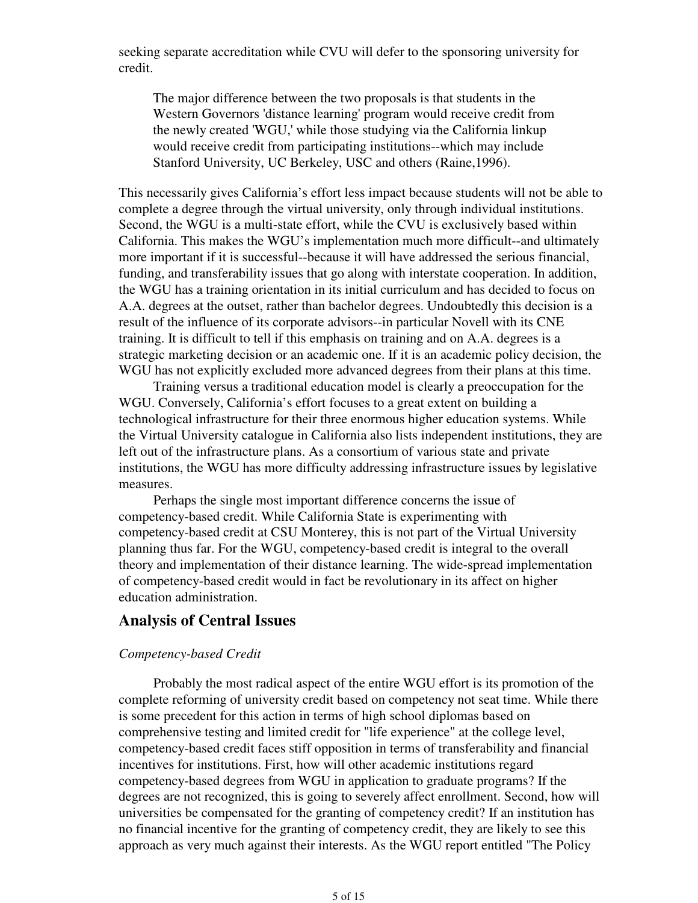seeking separate accreditation while CVU will defer to the sponsoring university for credit.

The major difference between the two proposals is that students in the Western Governors 'distance learning' program would receive credit from the newly created 'WGU,' while those studying via the California linkup would receive credit from participating institutions--which may include Stanford University, UC Berkeley, USC and others (Raine,1996).

This necessarily gives California's effort less impact because students will not be able to complete a degree through the virtual university, only through individual institutions. Second, the WGU is a multi-state effort, while the CVU is exclusively based within California. This makes the WGU's implementation much more difficult--and ultimately more important if it is successful--because it will have addressed the serious financial, funding, and transferability issues that go along with interstate cooperation. In addition, the WGU has a training orientation in its initial curriculum and has decided to focus on A.A. degrees at the outset, rather than bachelor degrees. Undoubtedly this decision is a result of the influence of its corporate advisors--in particular Novell with its CNE training. It is difficult to tell if this emphasis on training and on A.A. degrees is a strategic marketing decision or an academic one. If it is an academic policy decision, the WGU has not explicitly excluded more advanced degrees from their plans at this time.

Training versus a traditional education model is clearly a preoccupation for the WGU. Conversely, California's effort focuses to a great extent on building a technological infrastructure for their three enormous higher education systems. While the Virtual University catalogue in California also lists independent institutions, they are left out of the infrastructure plans. As a consortium of various state and private institutions, the WGU has more difficulty addressing infrastructure issues by legislative measures.

Perhaps the single most important difference concerns the issue of competency-based credit. While California State is experimenting with competency-based credit at CSU Monterey, this is not part of the Virtual University planning thus far. For the WGU, competency-based credit is integral to the overall theory and implementation of their distance learning. The wide-spread implementation of competency-based credit would in fact be revolutionary in its affect on higher education administration.

### **Analysis of Central Issues**

#### *Competency-based Credit*

Probably the most radical aspect of the entire WGU effort is its promotion of the complete reforming of university credit based on competency not seat time. While there is some precedent for this action in terms of high school diplomas based on comprehensive testing and limited credit for "life experience" at the college level, competency-based credit faces stiff opposition in terms of transferability and financial incentives for institutions. First, how will other academic institutions regard competency-based degrees from WGU in application to graduate programs? If the degrees are not recognized, this is going to severely affect enrollment. Second, how will universities be compensated for the granting of competency credit? If an institution has no financial incentive for the granting of competency credit, they are likely to see this approach as very much against their interests. As the WGU report entitled "The Policy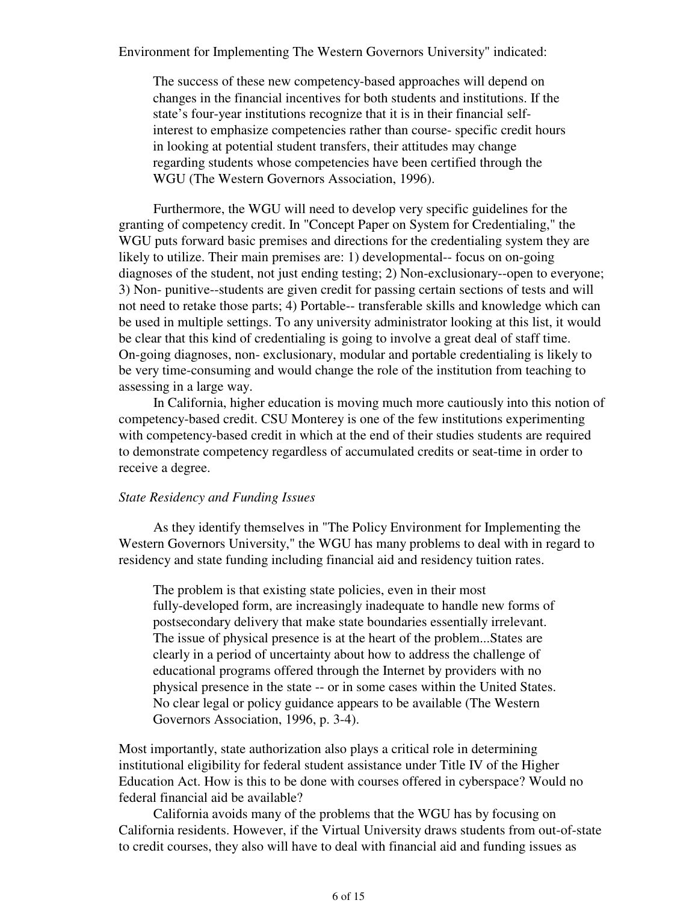Environment for Implementing The Western Governors University" indicated:

The success of these new competency-based approaches will depend on changes in the financial incentives for both students and institutions. If the state's four-year institutions recognize that it is in their financial selfinterest to emphasize competencies rather than course- specific credit hours in looking at potential student transfers, their attitudes may change regarding students whose competencies have been certified through the WGU (The Western Governors Association, 1996).

Furthermore, the WGU will need to develop very specific guidelines for the granting of competency credit. In "Concept Paper on System for Credentialing," the WGU puts forward basic premises and directions for the credentialing system they are likely to utilize. Their main premises are: 1) developmental-- focus on on-going diagnoses of the student, not just ending testing; 2) Non-exclusionary--open to everyone; 3) Non- punitive--students are given credit for passing certain sections of tests and will not need to retake those parts; 4) Portable-- transferable skills and knowledge which can be used in multiple settings. To any university administrator looking at this list, it would be clear that this kind of credentialing is going to involve a great deal of staff time. On-going diagnoses, non- exclusionary, modular and portable credentialing is likely to be very time-consuming and would change the role of the institution from teaching to assessing in a large way.

In California, higher education is moving much more cautiously into this notion of competency-based credit. CSU Monterey is one of the few institutions experimenting with competency-based credit in which at the end of their studies students are required to demonstrate competency regardless of accumulated credits or seat-time in order to receive a degree.

#### *State Residency and Funding Issues*

As they identify themselves in "The Policy Environment for Implementing the Western Governors University," the WGU has many problems to deal with in regard to residency and state funding including financial aid and residency tuition rates.

The problem is that existing state policies, even in their most fully-developed form, are increasingly inadequate to handle new forms of postsecondary delivery that make state boundaries essentially irrelevant. The issue of physical presence is at the heart of the problem...States are clearly in a period of uncertainty about how to address the challenge of educational programs offered through the Internet by providers with no physical presence in the state -- or in some cases within the United States. No clear legal or policy guidance appears to be available (The Western Governors Association, 1996, p. 3-4).

Most importantly, state authorization also plays a critical role in determining institutional eligibility for federal student assistance under Title IV of the Higher Education Act. How is this to be done with courses offered in cyberspace? Would no federal financial aid be available?

California avoids many of the problems that the WGU has by focusing on California residents. However, if the Virtual University draws students from out-of-state to credit courses, they also will have to deal with financial aid and funding issues as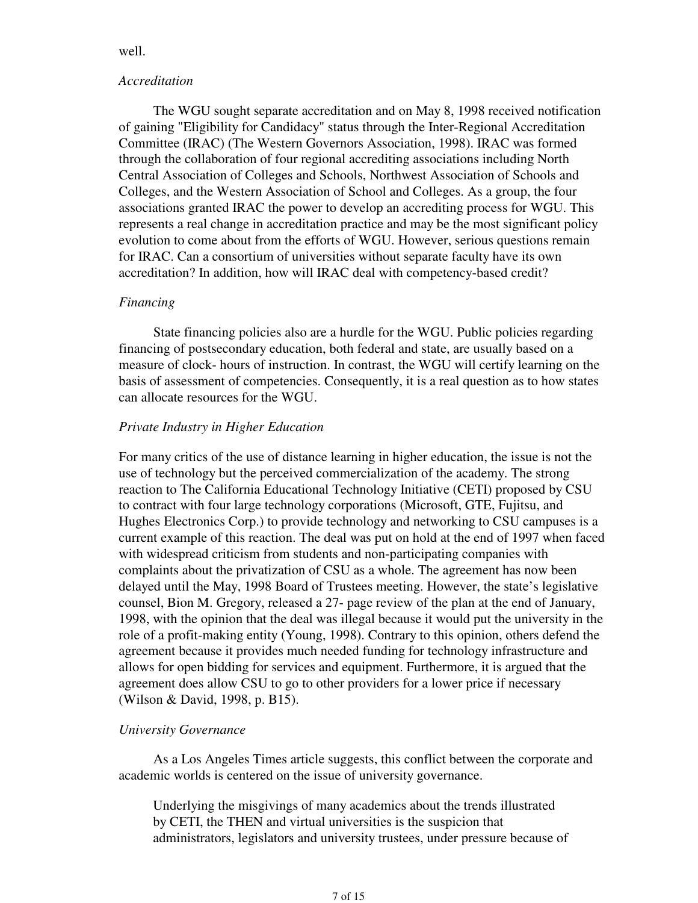#### well.

#### *Accreditation*

The WGU sought separate accreditation and on May 8, 1998 received notification of gaining "Eligibility for Candidacy" status through the Inter-Regional Accreditation Committee (IRAC) (The Western Governors Association, 1998). IRAC was formed through the collaboration of four regional accrediting associations including North Central Association of Colleges and Schools, Northwest Association of Schools and Colleges, and the Western Association of School and Colleges. As a group, the four associations granted IRAC the power to develop an accrediting process for WGU. This represents a real change in accreditation practice and may be the most significant policy evolution to come about from the efforts of WGU. However, serious questions remain for IRAC. Can a consortium of universities without separate faculty have its own accreditation? In addition, how will IRAC deal with competency-based credit?

#### *Financing*

State financing policies also are a hurdle for the WGU. Public policies regarding financing of postsecondary education, both federal and state, are usually based on a measure of clock- hours of instruction. In contrast, the WGU will certify learning on the basis of assessment of competencies. Consequently, it is a real question as to how states can allocate resources for the WGU.

### *Private Industry in Higher Education*

For many critics of the use of distance learning in higher education, the issue is not the use of technology but the perceived commercialization of the academy. The strong reaction to The California Educational Technology Initiative (CETI) proposed by CSU to contract with four large technology corporations (Microsoft, GTE, Fujitsu, and Hughes Electronics Corp.) to provide technology and networking to CSU campuses is a current example of this reaction. The deal was put on hold at the end of 1997 when faced with widespread criticism from students and non-participating companies with complaints about the privatization of CSU as a whole. The agreement has now been delayed until the May, 1998 Board of Trustees meeting. However, the state's legislative counsel, Bion M. Gregory, released a 27- page review of the plan at the end of January, 1998, with the opinion that the deal was illegal because it would put the university in the role of a profit-making entity (Young, 1998). Contrary to this opinion, others defend the agreement because it provides much needed funding for technology infrastructure and allows for open bidding for services and equipment. Furthermore, it is argued that the agreement does allow CSU to go to other providers for a lower price if necessary (Wilson & David, 1998, p. B15).

### *University Governance*

As a Los Angeles Times article suggests, this conflict between the corporate and academic worlds is centered on the issue of university governance.

Underlying the misgivings of many academics about the trends illustrated by CETI, the THEN and virtual universities is the suspicion that administrators, legislators and university trustees, under pressure because of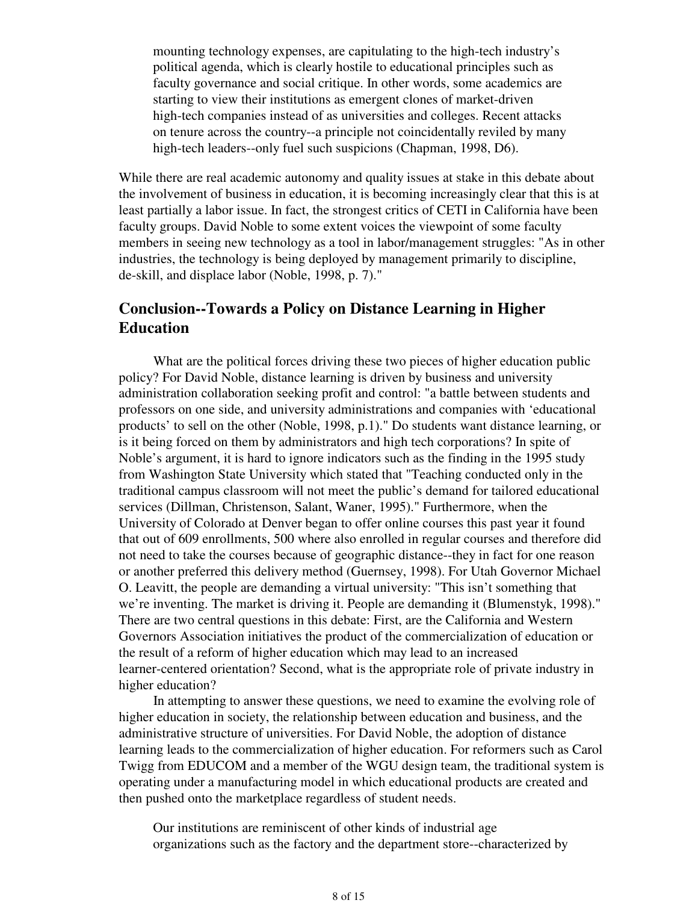mounting technology expenses, are capitulating to the high-tech industry's political agenda, which is clearly hostile to educational principles such as faculty governance and social critique. In other words, some academics are starting to view their institutions as emergent clones of market-driven high-tech companies instead of as universities and colleges. Recent attacks on tenure across the country--a principle not coincidentally reviled by many high-tech leaders--only fuel such suspicions (Chapman, 1998, D6).

While there are real academic autonomy and quality issues at stake in this debate about the involvement of business in education, it is becoming increasingly clear that this is at least partially a labor issue. In fact, the strongest critics of CETI in California have been faculty groups. David Noble to some extent voices the viewpoint of some faculty members in seeing new technology as a tool in labor/management struggles: "As in other industries, the technology is being deployed by management primarily to discipline, de-skill, and displace labor (Noble, 1998, p. 7)."

# **Conclusion--Towards a Policy on Distance Learning in Higher Education**

What are the political forces driving these two pieces of higher education public policy? For David Noble, distance learning is driven by business and university administration collaboration seeking profit and control: "a battle between students and professors on one side, and university administrations and companies with 'educational products' to sell on the other (Noble, 1998, p.1)." Do students want distance learning, or is it being forced on them by administrators and high tech corporations? In spite of Noble's argument, it is hard to ignore indicators such as the finding in the 1995 study from Washington State University which stated that "Teaching conducted only in the traditional campus classroom will not meet the public's demand for tailored educational services (Dillman, Christenson, Salant, Waner, 1995)." Furthermore, when the University of Colorado at Denver began to offer online courses this past year it found that out of 609 enrollments, 500 where also enrolled in regular courses and therefore did not need to take the courses because of geographic distance--they in fact for one reason or another preferred this delivery method (Guernsey, 1998). For Utah Governor Michael O. Leavitt, the people are demanding a virtual university: "This isn't something that we're inventing. The market is driving it. People are demanding it (Blumenstyk, 1998)." There are two central questions in this debate: First, are the California and Western Governors Association initiatives the product of the commercialization of education or the result of a reform of higher education which may lead to an increased learner-centered orientation? Second, what is the appropriate role of private industry in higher education?

In attempting to answer these questions, we need to examine the evolving role of higher education in society, the relationship between education and business, and the administrative structure of universities. For David Noble, the adoption of distance learning leads to the commercialization of higher education. For reformers such as Carol Twigg from EDUCOM and a member of the WGU design team, the traditional system is operating under a manufacturing model in which educational products are created and then pushed onto the marketplace regardless of student needs.

Our institutions are reminiscent of other kinds of industrial age organizations such as the factory and the department store--characterized by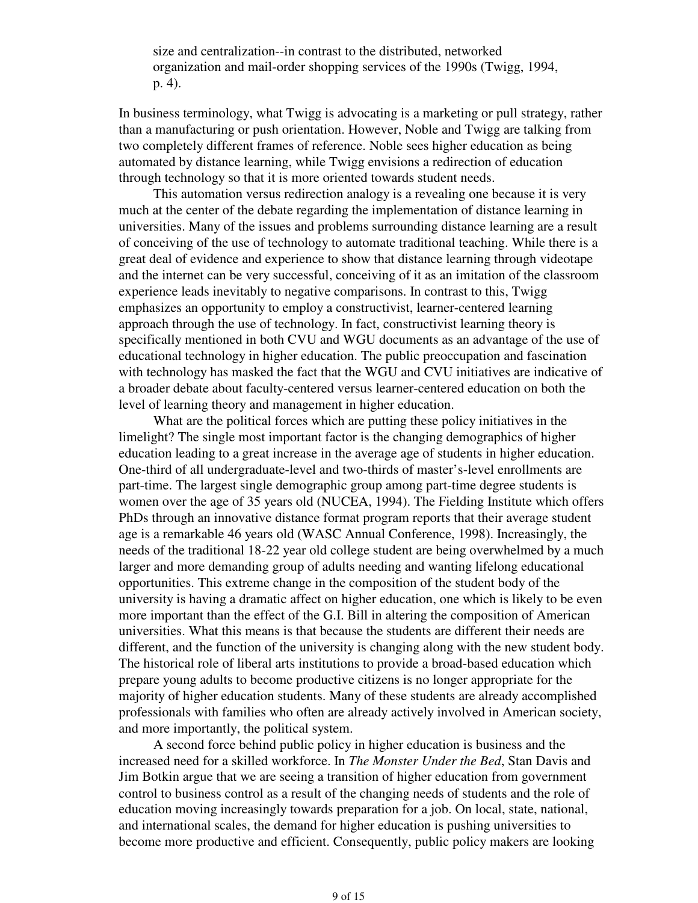size and centralization--in contrast to the distributed, networked organization and mail-order shopping services of the 1990s (Twigg, 1994, p. 4).

In business terminology, what Twigg is advocating is a marketing or pull strategy, rather than a manufacturing or push orientation. However, Noble and Twigg are talking from two completely different frames of reference. Noble sees higher education as being automated by distance learning, while Twigg envisions a redirection of education through technology so that it is more oriented towards student needs.

This automation versus redirection analogy is a revealing one because it is very much at the center of the debate regarding the implementation of distance learning in universities. Many of the issues and problems surrounding distance learning are a result of conceiving of the use of technology to automate traditional teaching. While there is a great deal of evidence and experience to show that distance learning through videotape and the internet can be very successful, conceiving of it as an imitation of the classroom experience leads inevitably to negative comparisons. In contrast to this, Twigg emphasizes an opportunity to employ a constructivist, learner-centered learning approach through the use of technology. In fact, constructivist learning theory is specifically mentioned in both CVU and WGU documents as an advantage of the use of educational technology in higher education. The public preoccupation and fascination with technology has masked the fact that the WGU and CVU initiatives are indicative of a broader debate about faculty-centered versus learner-centered education on both the level of learning theory and management in higher education.

What are the political forces which are putting these policy initiatives in the limelight? The single most important factor is the changing demographics of higher education leading to a great increase in the average age of students in higher education. One-third of all undergraduate-level and two-thirds of master's-level enrollments are part-time. The largest single demographic group among part-time degree students is women over the age of 35 years old (NUCEA, 1994). The Fielding Institute which offers PhDs through an innovative distance format program reports that their average student age is a remarkable 46 years old (WASC Annual Conference, 1998). Increasingly, the needs of the traditional 18-22 year old college student are being overwhelmed by a much larger and more demanding group of adults needing and wanting lifelong educational opportunities. This extreme change in the composition of the student body of the university is having a dramatic affect on higher education, one which is likely to be even more important than the effect of the G.I. Bill in altering the composition of American universities. What this means is that because the students are different their needs are different, and the function of the university is changing along with the new student body. The historical role of liberal arts institutions to provide a broad-based education which prepare young adults to become productive citizens is no longer appropriate for the majority of higher education students. Many of these students are already accomplished professionals with families who often are already actively involved in American society, and more importantly, the political system.

A second force behind public policy in higher education is business and the increased need for a skilled workforce. In *The Monster Under the Bed*, Stan Davis and Jim Botkin argue that we are seeing a transition of higher education from government control to business control as a result of the changing needs of students and the role of education moving increasingly towards preparation for a job. On local, state, national, and international scales, the demand for higher education is pushing universities to become more productive and efficient. Consequently, public policy makers are looking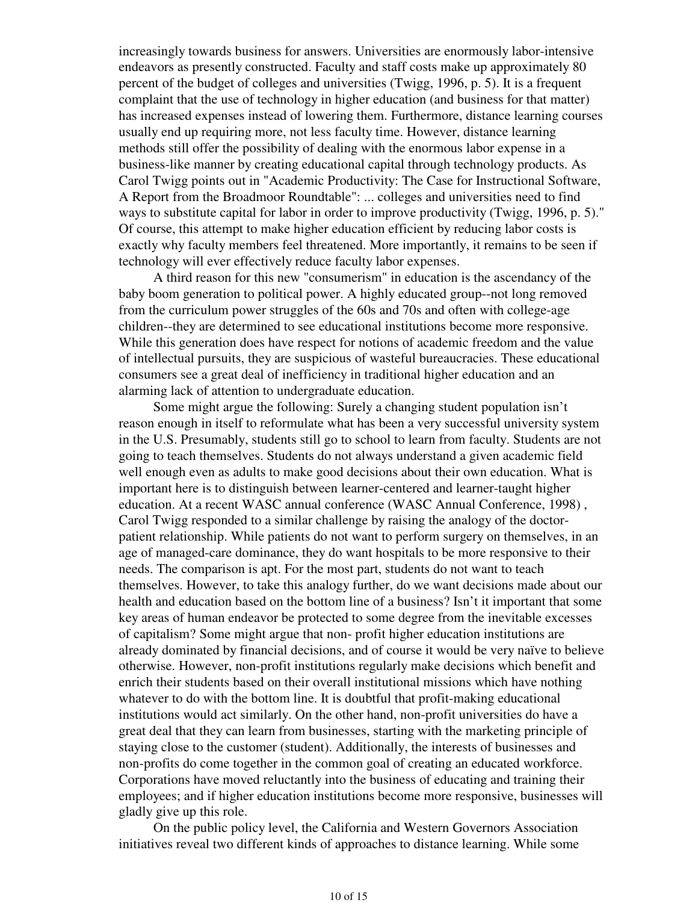increasingly towards business for answers. Universities are enormously labor-intensive endeavors as presently constructed. Faculty and staff costs make up approximately 80 percent of the budget of colleges and universities (Twigg, 1996, p. 5). It is a frequent complaint that the use of technology in higher education (and business for that matter) has increased expenses instead of lowering them. Furthermore, distance learning courses usually end up requiring more, not less faculty time. However, distance learning methods still offer the possibility of dealing with the enormous labor expense in a business-like manner by creating educational capital through technology products. As Carol Twigg points out in "Academic Productivity: The Case for Instructional Software, A Report from the Broadmoor Roundtable": ... colleges and universities need to find ways to substitute capital for labor in order to improve productivity (Twigg, 1996, p. 5)." Of course, this attempt to make higher education efficient by reducing labor costs is exactly why faculty members feel threatened. More importantly, it remains to be seen if technology will ever effectively reduce faculty labor expenses.

A third reason for this new "consumerism" in education is the ascendancy of the baby boom generation to political power. A highly educated group--not long removed from the curriculum power struggles of the 60s and 70s and often with college-age children--they are determined to see educational institutions become more responsive. While this generation does have respect for notions of academic freedom and the value of intellectual pursuits, they are suspicious of wasteful bureaucracies. These educational consumers see a great deal of inefficiency in traditional higher education and an alarming lack of attention to undergraduate education.

Some might argue the following: Surely a changing student population isn't reason enough in itself to reformulate what has been a very successful university system in the U.S. Presumably, students still go to school to learn from faculty. Students are not going to teach themselves. Students do not always understand a given academic field well enough even as adults to make good decisions about their own education. What is important here is to distinguish between learner-centered and learner-taught higher education. At a recent WASC annual conference (WASC Annual Conference, 1998) , Carol Twigg responded to a similar challenge by raising the analogy of the doctorpatient relationship. While patients do not want to perform surgery on themselves, in an age of managed-care dominance, they do want hospitals to be more responsive to their needs. The comparison is apt. For the most part, students do not want to teach themselves. However, to take this analogy further, do we want decisions made about our health and education based on the bottom line of a business? Isn't it important that some key areas of human endeavor be protected to some degree from the inevitable excesses of capitalism? Some might argue that non- profit higher education institutions are already dominated by financial decisions, and of course it would be very naïve to believe otherwise. However, non-profit institutions regularly make decisions which benefit and enrich their students based on their overall institutional missions which have nothing whatever to do with the bottom line. It is doubtful that profit-making educational institutions would act similarly. On the other hand, non-profit universities do have a great deal that they can learn from businesses, starting with the marketing principle of staying close to the customer (student). Additionally, the interests of businesses and non-profits do come together in the common goal of creating an educated workforce. Corporations have moved reluctantly into the business of educating and training their employees; and if higher education institutions become more responsive, businesses will gladly give up this role.

On the public policy level, the California and Western Governors Association initiatives reveal two different kinds of approaches to distance learning. While some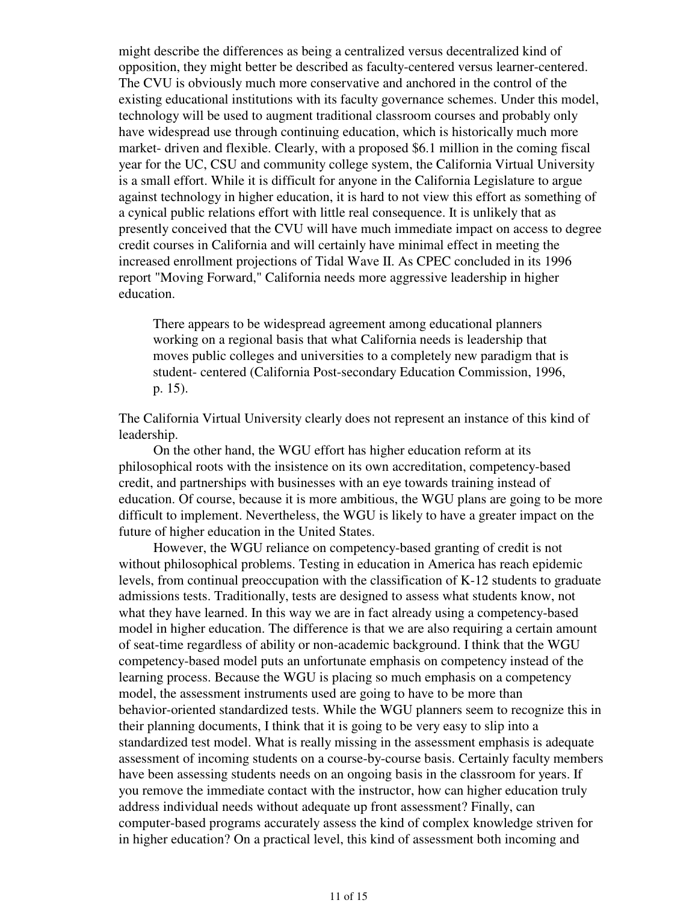might describe the differences as being a centralized versus decentralized kind of opposition, they might better be described as faculty-centered versus learner-centered. The CVU is obviously much more conservative and anchored in the control of the existing educational institutions with its faculty governance schemes. Under this model, technology will be used to augment traditional classroom courses and probably only have widespread use through continuing education, which is historically much more market- driven and flexible. Clearly, with a proposed \$6.1 million in the coming fiscal year for the UC, CSU and community college system, the California Virtual University is a small effort. While it is difficult for anyone in the California Legislature to argue against technology in higher education, it is hard to not view this effort as something of a cynical public relations effort with little real consequence. It is unlikely that as presently conceived that the CVU will have much immediate impact on access to degree credit courses in California and will certainly have minimal effect in meeting the increased enrollment projections of Tidal Wave II. As CPEC concluded in its 1996 report "Moving Forward," California needs more aggressive leadership in higher education.

There appears to be widespread agreement among educational planners working on a regional basis that what California needs is leadership that moves public colleges and universities to a completely new paradigm that is student- centered (California Post-secondary Education Commission, 1996, p. 15).

The California Virtual University clearly does not represent an instance of this kind of leadership.

On the other hand, the WGU effort has higher education reform at its philosophical roots with the insistence on its own accreditation, competency-based credit, and partnerships with businesses with an eye towards training instead of education. Of course, because it is more ambitious, the WGU plans are going to be more difficult to implement. Nevertheless, the WGU is likely to have a greater impact on the future of higher education in the United States.

However, the WGU reliance on competency-based granting of credit is not without philosophical problems. Testing in education in America has reach epidemic levels, from continual preoccupation with the classification of K-12 students to graduate admissions tests. Traditionally, tests are designed to assess what students know, not what they have learned. In this way we are in fact already using a competency-based model in higher education. The difference is that we are also requiring a certain amount of seat-time regardless of ability or non-academic background. I think that the WGU competency-based model puts an unfortunate emphasis on competency instead of the learning process. Because the WGU is placing so much emphasis on a competency model, the assessment instruments used are going to have to be more than behavior-oriented standardized tests. While the WGU planners seem to recognize this in their planning documents, I think that it is going to be very easy to slip into a standardized test model. What is really missing in the assessment emphasis is adequate assessment of incoming students on a course-by-course basis. Certainly faculty members have been assessing students needs on an ongoing basis in the classroom for years. If you remove the immediate contact with the instructor, how can higher education truly address individual needs without adequate up front assessment? Finally, can computer-based programs accurately assess the kind of complex knowledge striven for in higher education? On a practical level, this kind of assessment both incoming and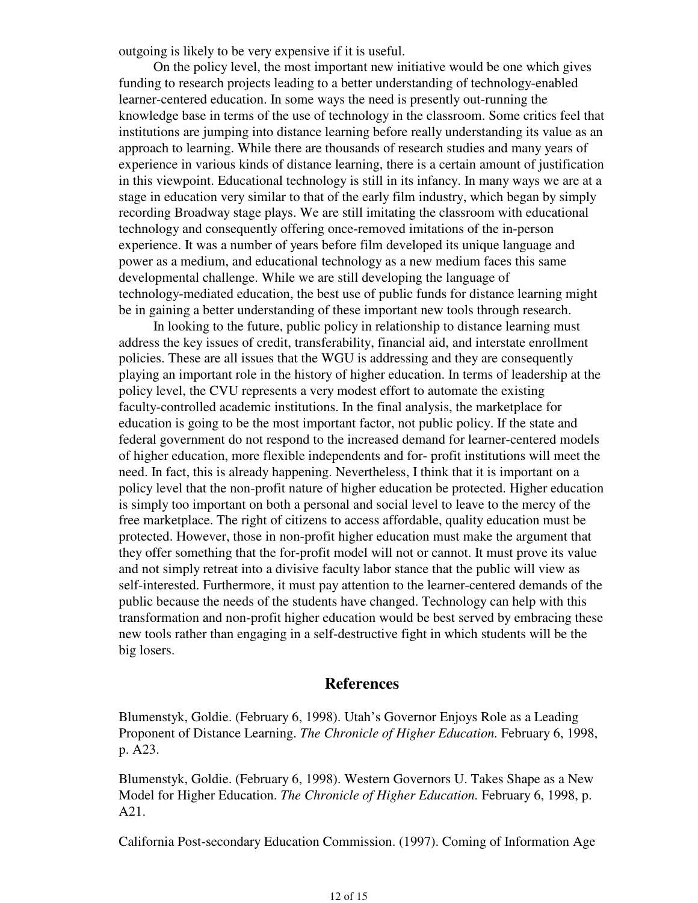outgoing is likely to be very expensive if it is useful.

On the policy level, the most important new initiative would be one which gives funding to research projects leading to a better understanding of technology-enabled learner-centered education. In some ways the need is presently out-running the knowledge base in terms of the use of technology in the classroom. Some critics feel that institutions are jumping into distance learning before really understanding its value as an approach to learning. While there are thousands of research studies and many years of experience in various kinds of distance learning, there is a certain amount of justification in this viewpoint. Educational technology is still in its infancy. In many ways we are at a stage in education very similar to that of the early film industry, which began by simply recording Broadway stage plays. We are still imitating the classroom with educational technology and consequently offering once-removed imitations of the in-person experience. It was a number of years before film developed its unique language and power as a medium, and educational technology as a new medium faces this same developmental challenge. While we are still developing the language of technology-mediated education, the best use of public funds for distance learning might be in gaining a better understanding of these important new tools through research.

In looking to the future, public policy in relationship to distance learning must address the key issues of credit, transferability, financial aid, and interstate enrollment policies. These are all issues that the WGU is addressing and they are consequently playing an important role in the history of higher education. In terms of leadership at the policy level, the CVU represents a very modest effort to automate the existing faculty-controlled academic institutions. In the final analysis, the marketplace for education is going to be the most important factor, not public policy. If the state and federal government do not respond to the increased demand for learner-centered models of higher education, more flexible independents and for- profit institutions will meet the need. In fact, this is already happening. Nevertheless, I think that it is important on a policy level that the non-profit nature of higher education be protected. Higher education is simply too important on both a personal and social level to leave to the mercy of the free marketplace. The right of citizens to access affordable, quality education must be protected. However, those in non-profit higher education must make the argument that they offer something that the for-profit model will not or cannot. It must prove its value and not simply retreat into a divisive faculty labor stance that the public will view as self-interested. Furthermore, it must pay attention to the learner-centered demands of the public because the needs of the students have changed. Technology can help with this transformation and non-profit higher education would be best served by embracing these new tools rather than engaging in a self-destructive fight in which students will be the big losers.

### **References**

Blumenstyk, Goldie. (February 6, 1998). Utah's Governor Enjoys Role as a Leading Proponent of Distance Learning. *The Chronicle of Higher Education.* February 6, 1998, p. A23.

Blumenstyk, Goldie. (February 6, 1998). Western Governors U. Takes Shape as a New Model for Higher Education. *The Chronicle of Higher Education.* February 6, 1998, p. A21.

California Post-secondary Education Commission. (1997). Coming of Information Age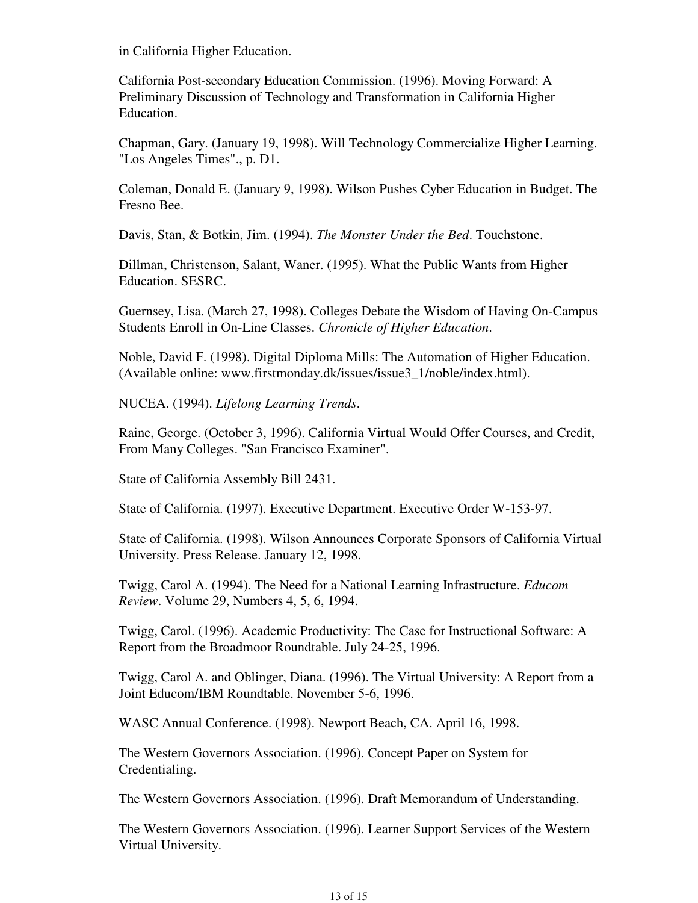in California Higher Education.

California Post-secondary Education Commission. (1996). Moving Forward: A Preliminary Discussion of Technology and Transformation in California Higher Education.

Chapman, Gary. (January 19, 1998). Will Technology Commercialize Higher Learning. "Los Angeles Times"., p. D1.

Coleman, Donald E. (January 9, 1998). Wilson Pushes Cyber Education in Budget. The Fresno Bee.

Davis, Stan, & Botkin, Jim. (1994). *The Monster Under the Bed*. Touchstone.

Dillman, Christenson, Salant, Waner. (1995). What the Public Wants from Higher Education. SESRC.

Guernsey, Lisa. (March 27, 1998). Colleges Debate the Wisdom of Having On-Campus Students Enroll in On-Line Classes. *Chronicle of Higher Education*.

Noble, David F. (1998). Digital Diploma Mills: The Automation of Higher Education. (Available online: www.firstmonday.dk/issues/issue3\_1/noble/index.html).

NUCEA. (1994). *Lifelong Learning Trends*.

Raine, George. (October 3, 1996). California Virtual Would Offer Courses, and Credit, From Many Colleges. "San Francisco Examiner".

State of California Assembly Bill 2431.

State of California. (1997). Executive Department. Executive Order W-153-97.

State of California. (1998). Wilson Announces Corporate Sponsors of California Virtual University. Press Release. January 12, 1998.

Twigg, Carol A. (1994). The Need for a National Learning Infrastructure. *Educom Review*. Volume 29, Numbers 4, 5, 6, 1994.

Twigg, Carol. (1996). Academic Productivity: The Case for Instructional Software: A Report from the Broadmoor Roundtable. July 24-25, 1996.

Twigg, Carol A. and Oblinger, Diana. (1996). The Virtual University: A Report from a Joint Educom/IBM Roundtable. November 5-6, 1996.

WASC Annual Conference. (1998). Newport Beach, CA. April 16, 1998.

The Western Governors Association. (1996). Concept Paper on System for Credentialing.

The Western Governors Association. (1996). Draft Memorandum of Understanding.

The Western Governors Association. (1996). Learner Support Services of the Western Virtual University.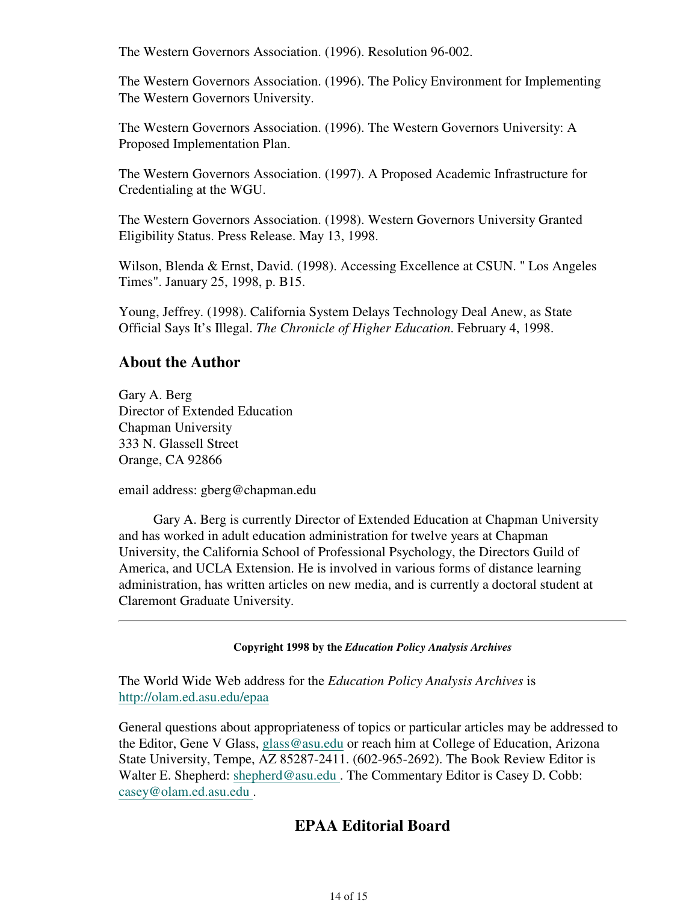The Western Governors Association. (1996). Resolution 96-002.

The Western Governors Association. (1996). The Policy Environment for Implementing The Western Governors University.

The Western Governors Association. (1996). The Western Governors University: A Proposed Implementation Plan.

The Western Governors Association. (1997). A Proposed Academic Infrastructure for Credentialing at the WGU.

The Western Governors Association. (1998). Western Governors University Granted Eligibility Status. Press Release. May 13, 1998.

Wilson, Blenda & Ernst, David. (1998). Accessing Excellence at CSUN. " Los Angeles Times". January 25, 1998, p. B15.

Young, Jeffrey. (1998). California System Delays Technology Deal Anew, as State Official Says It's Illegal. *The Chronicle of Higher Education*. February 4, 1998.

## **About the Author**

Gary A. Berg Director of Extended Education Chapman University 333 N. Glassell Street Orange, CA 92866

email address: gberg@chapman.edu

Gary A. Berg is currently Director of Extended Education at Chapman University and has worked in adult education administration for twelve years at Chapman University, the California School of Professional Psychology, the Directors Guild of America, and UCLA Extension. He is involved in various forms of distance learning administration, has written articles on new media, and is currently a doctoral student at Claremont Graduate University.

**Copyright 1998 by the** *Education Policy Analysis Archives*

The World Wide Web address for the *Education Policy Analysis Archives* is http://olam.ed.asu.edu/epaa

General questions about appropriateness of topics or particular articles may be addressed to the Editor, Gene V Glass, glass@asu.edu or reach him at College of Education, Arizona State University, Tempe, AZ 85287-2411. (602-965-2692). The Book Review Editor is Walter E. Shepherd: shepherd@asu.edu. The Commentary Editor is Casey D. Cobb: casey@olam.ed.asu.edu .

# **EPAA Editorial Board**